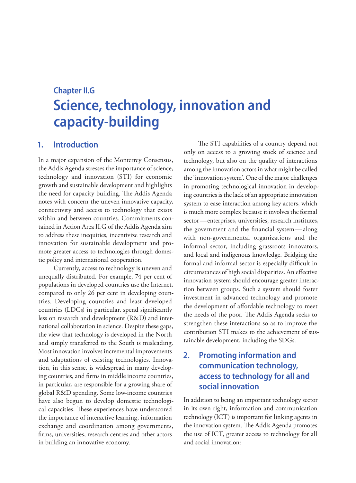# **Chapter II.G Science, technology, innovation and capacity-building**

## **1. Introduction**

In a major expansion of the Monterrey Consensus, the Addis Agenda stresses the importance of science, technology and innovation (STI) for economic growth and sustainable development and highlights the need for capacity building. The Addis Agenda notes with concern the uneven innovative capacity, connectivity and access to technology that exists within and between countries. Commitments contained in Action Area II.G of the Addis Agenda aim to address these inequities, incentivize research and innovation for sustainable development and promote greater access to technologies through domestic policy and international cooperation.

Currently, access to technology is uneven and unequally distributed. For example, 74 per cent of populations in developed countries use the Internet, compared to only 26 per cent in developing countries. Developing countries and least developed countries (LDCs) in particular, spend significantly less on research and development (R&D) and international collaboration in science. Despite these gaps, the view that technology is developed in the North and simply transferred to the South is misleading. Most innovation involves incremental improvements and adaptations of existing technologies. Innovation, in this sense, is widespread in many developing countries, and firms in middle income countries, in particular, are responsible for a growing share of global R&D spending. Some low-income countries have also begun to develop domestic technological capacities. These experiences have underscored the importance of interactive learning, information exchange and coordination among governments, firms, universities, research centres and other actors in building an innovative economy.

The STI capabilities of a country depend not only on access to a growing stock of science and technology, but also on the quality of interactions among the innovation actors in what might be called the 'innovation system'. One of the major challenges in promoting technological innovation in developing countries is the lack of an appropriate innovation system to ease interaction among key actors, which is much more complex because it involves the formal sector—enterprises, universities, research institutes, the government and the financial system—along with non-governmental organizations and the informal sector, including grassroots innovators, and local and indigenous knowledge. Bridging the formal and informal sector is especially difficult in circumstances of high social disparities. An effective innovation system should encourage greater interaction between groups. Such a system should foster investment in advanced technology and promote the development of affordable technology to meet the needs of the poor. The Addis Agenda seeks to strengthen these interactions so as to improve the contribution STI makes to the achievement of sustainable development, including the SDGs.

# **2. Promoting information and communication technology, access to technology for all and social innovation**

In addition to being an important technology sector in its own right, information and communication technology (ICT) is important for linking agents in the innovation system. The Addis Agenda promotes the use of ICT, greater access to technology for all and social innovation: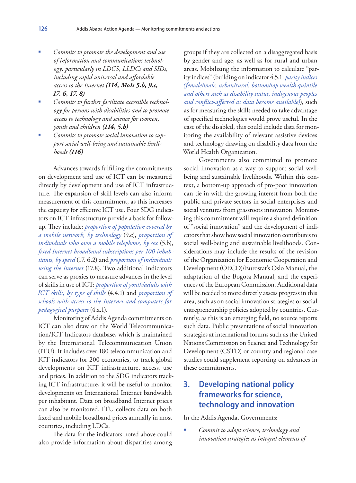- *Commits to promote the development and use of information and communications technology, particularly in LDCS, LLDCs and SIDs, including rapid universal and affordable access to the Internet (114, MoIs 5.b, 9.c, 17. 6, 17. 8)*
- *Commits to further facilitate accessible technology for persons with disabilities and to promote access to technology and science for women, youth and children (114, 5.b)*
- *Commits to promote social innovation to support social well-being and sustainable livelihoods (116)*

Advances towards fulfilling the commitments on development and use of ICT can be measured directly by development and use of ICT infrastructure. The expansion of skill levels can also inform measurement of this commitment, as this increases the capacity for effective ICT use. Four SDG indicators on ICT infrastructure provide a basis for followup. They include: *proportion of population covered by a mobile network, by technology* (9.c), *proportion of individuals who own a mobile telephone, by sex* (5.b), *fixed Internet broadband subscriptions per 100 inhabitants, by speed* (17. 6.2) and *proportion of individuals using the Internet* (17.8). Two additional indicators can serve as proxies to measure advances in the level of skills in use of ICT: *proportion of youth/adults with ICT skills, by type of skills* (4.4.1) and *proportion of schools with access to the Internet and computers for pedagogical purposes* (4.a.1).

Monitoring of Addis Agenda commitments on ICT can also draw on the World Telecommunication/ICT Indicators database, which is maintained by the International Telecommunication Union (ITU). It includes over 180 telecommunication and ICT indicators for 200 economies, to track global developments on ICT infrastructure, access, use and prices. In addition to the SDG indicators tracking ICT infrastructure, it will be useful to monitor developments on International Internet bandwidth per inhabitant. Data on broadband Internet prices can also be monitored. ITU collects data on both fixed and mobile broadband prices annually in most countries, including LDCs.

The data for the indicators noted above could also provide information about disparities among

groups if they are collected on a disaggregated basis by gender and age, as well as for rural and urban areas. Mobilizing the information to calculate "parity indices" (building on indicator 4.5.1: *parity indices (female/male, urban/rural, bottom/top wealth quintile and others such as disability status, indigenous peoples and conflict-affected as data become available)*), such as for measuring the skills needed to take advantage of specified technologies would prove useful. In the case of the disabled, this could include data for monitoring the availability of relevant assistive devices and technology drawing on disability data from the World Health Organization.

Governments also committed to promote social innovation as a way to support social wellbeing and sustainable livelihoods. Within this context, a bottom-up approach of pro-poor innovation can tie in with the growing interest from both the public and private sectors in social enterprises and social ventures from grassroots innovation. Monitoring this commitment will require a shared definition of "social innovation" and the development of indicators that show how social innovation contributes to social well-being and sustainable livelihoods. Considerations may include the results of the revision of the Organization for Economic Cooperation and Development (OECD)/Eurostat's Oslo Manual, the adaptation of the Bogota Manual, and the experiences of the European Commission. Additional data will be needed to more directly assess progress in this area, such as on social innovation strategies or social entrepreneurship policies adopted by countries. Currently, as this is an emerging field, no source reports such data. Public presentations of social innovation strategies at international forums such as the United Nations Commission on Science and Technology for Development (CSTD) or country and regional case studies could supplement reporting on advances in these commitments.

# **3. Developing national policy frameworks for science, technology and innovation**

In the Addis Agenda, Governments:

 *Commit to adopt science, technology and innovation strategies as integral elements of*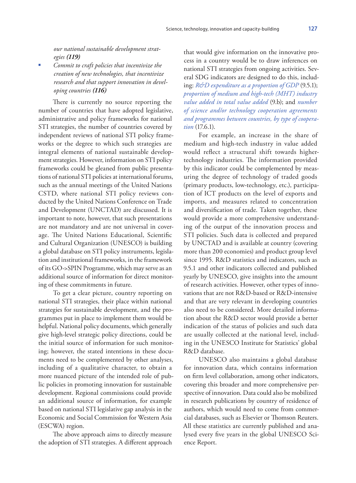*our national sustainable development strat-*

*egies (119) Commit to craft policies that incentivize the creation of new technologies, that incentivize research and that support innovation in developing countries (116)*

There is currently no source reporting the number of countries that have adopted legislative, administrative and policy frameworks for national STI strategies, the number of countries covered by independent reviews of national STI policy frameworks or the degree to which such strategies are integral elements of national sustainable development strategies. However, information on STI policy frameworks could be gleaned from public presentations of national STI policies at international forums, such as the annual meetings of the United Nations CSTD, where national STI policy reviews conducted by the United Nations Conference on Trade and Development (UNCTAD) are discussed. It is important to note, however, that such presentations are not mandatory and are not universal in coverage. The United Nations Educational, Scientific and Cultural Organization (UNESCO) is building a global database on STI policy instruments, legislation and institutional frameworks, in the framework of its GO->SPIN Programme, which may serve as an additional source of information for direct monitoring of these commitments in future.

To get a clear picture, country reporting on national STI strategies, their place within national strategies for sustainable development, and the programmes put in place to implement them would be helpful. National policy documents, which generally give high-level strategic policy directions, could be the initial source of information for such monitoring; however, the stated intentions in these documents need to be complemented by other analyses, including of a qualitative character, to obtain a more nuanced picture of the intended role of public policies in promoting innovation for sustainable development. Regional commissions could provide an additional source of information, for example based on national STI legislative gap analysis in the Economic and Social Commission for Western Asia (ESCWA) region.

The above approach aims to directly measure the adoption of STI strategies. A different approach

that would give information on the innovative process in a country would be to draw inferences on national STI strategies from ongoing activities. Several SDG indicators are designed to do this, including: *R&D expenditure as a proportion of GDP* (9.5.1); *proportion of medium and high-tech (MHT) industry value added in total value added* (9.b); and *number of science and/or technology cooperation agreements and programmes between countries, by type of cooperation* (17.6.1).

For example, an increase in the share of medium and high-tech industry in value added would reflect a structural shift towards highertechnology industries. The information provided by this indicator could be complemented by measuring the degree of technology of traded goods (primary products, low-technology, etc.), participation of ICT products on the level of exports and imports, and measures related to concentration and diversification of trade. Taken together, these would provide a more comprehensive understanding of the output of the innovation process and STI policies. Such data is collected and prepared by UNCTAD and is available at country (covering more than 200 economies) and product group level since 1995. R&D statistics and indicators, such as 9.5.1 and other indicators collected and published yearly by UNESCO, give insights into the amount of research activities. However, other types of innovations that are not R&D-based or R&D-intensive and that are very relevant in developing countries also need to be considered. More detailed information about the R&D sector would provide a better indication of the status of policies and such data are usually collected at the national level, including in the UNESCO Institute for Statistics' global R&D database.

UNESCO also maintains a global database for innovation data, which contains information on firm level collaboration, among other indicators, covering this broader and more comprehensive perspective of innovation. Data could also be mobilized in research publications by country of residence of authors, which would need to come from commercial databases, such as Elsevier or Thomson Reuters. All these statistics are currently published and analysed every five years in the global UNESCO Science Report.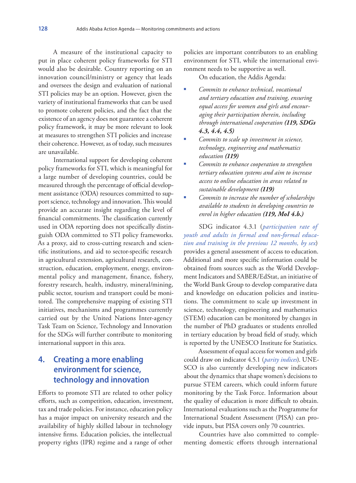A measure of the institutional capacity to put in place coherent policy frameworks for STI would also be desirable. Country reporting on an innovation council/ministry or agency that leads and oversees the design and evaluation of national STI policies may be an option. However, given the variety of institutional frameworks that can be used to promote coherent policies, and the fact that the existence of an agency does not guarantee a coherent policy framework, it may be more relevant to look at measures to strengthen STI policies and increase their coherence. However, as of today, such measures are unavailable.

International support for developing coherent policy frameworks for STI, which is meaningful for a large number of developing countries, could be measured through the percentage of official development assistance (ODA) resources committed to support science, technology and innovation. This would provide an accurate insight regarding the level of financial commitments. The classification currently used in ODA reporting does not specifically distinguish ODA committed to STI policy frameworks. As a proxy, aid to cross-cutting research and scientific institutions, and aid to sector-specific research in agricultural extension, agricultural research, construction, education, employment, energy, environmental policy and management, finance, fishery, forestry research, health, industry, mineral/mining, public sector, tourism and transport could be monitored. The comprehensive mapping of existing STI initiatives, mechanisms and programmes currently carried out by the United Nations Inter-agency Task Team on Science, Technology and Innovation for the SDGs will further contribute to monitoring international support in this area.

## **4. Creating a more enabling environment for science, technology and innovation**

Efforts to promote STI are related to other policy efforts, such as competition, education, investment, tax and trade policies. For instance, education policy has a major impact on university research and the availability of highly skilled labour in technology intensive firms. Education policies, the intellectual property rights (IPR) regime and a range of other

policies are important contributors to an enabling environment for STI, while the international environment needs to be supportive as well.

On education, the Addis Agenda:

- *Commits to enhance technical, vocational and tertiary education and training, ensuring equal access for women and girls and encouraging their participation therein, including through international cooperation (119, SDGs 4.3, 4.4, 4.5)*
- *Commits to scale up investment in science, technology, engineering and mathematics education (119)*
- *Commits to enhance cooperation to strengthen tertiary education systems and aim to increase access to online education in areas related to sustainable development (119)*
- *Commits to increase the number of scholarships available to students in developing countries to enrol in higher education (119, MoI 4.b.)*

SDG indicator 4.3.1 (*participation rate of youth and adults in formal and non-formal education and training in the previous 12 months, by sex*) provides a general assessment of access to education. Additional and more specific information could be obtained from sources such as the World Development Indicators and SABER/EdStat, an initiative of the World Bank Group to develop comparative data and knowledge on education policies and institutions. The commitment to scale up investment in science, technology, engineering and mathematics (STEM) education can be monitored by changes in the number of PhD graduates or students enrolled in tertiary education by broad field of study, which is reported by the UNESCO Institute for Statistics.

Assessment of equal access for women and girls could draw on indicator 4.5.1 (*parity indices*). UNE-SCO is also currently developing new indicators about the dynamics that shape women's decisions to pursue STEM careers, which could inform future monitoring by the Task Force. Information about the quality of education is more difficult to obtain. International evaluations such as the Programme for International Student Assessment (PISA) can provide inputs, but PISA covers only 70 countries.

Countries have also committed to complementing domestic efforts through international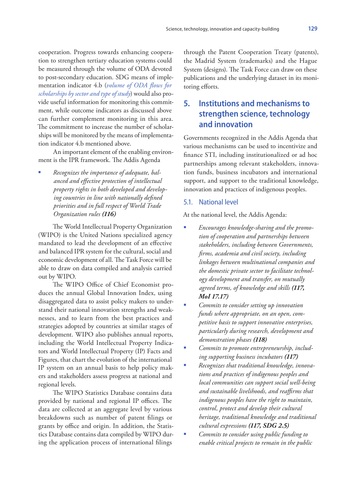cooperation. Progress towards enhancing cooperation to strengthen tertiary education systems could be measured through the volume of ODA devoted to post-secondary education. SDG means of implementation indicator 4.b (*volume of ODA flows for scholarships by sector and type of study*) would also provide useful information for monitoring this commitment, while outcome indicators as discussed above can further complement monitoring in this area. The commitment to increase the number of scholarships will be monitored by the means of implementation indicator 4.b mentioned above.

An important element of the enabling environment is the IPR framework. The Addis Agenda

 *Recognizes the importance of adequate, balanced and effective protection of intellectual property rights in both developed and developing countries in line with nationally defined priorities and in full respect of World Trade Organization rules (116)*

The World Intellectual Property Organization (WIPO) is the United Nations specialized agency mandated to lead the development of an effective and balanced IPR system for the cultural, social and economic development of all. The Task Force will be able to draw on data compiled and analysis carried out by WIPO.

The WIPO Office of Chief Economist produces the annual Global Innovation Index, using disaggregated data to assist policy makers to understand their national innovation strengths and weaknesses, and to learn from the best practices and strategies adopted by countries at similar stages of development. WIPO also publishes annual reports, including the World Intellectual Property Indicators and World Intellectual Property (IP) Facts and Figures, that chart the evolution of the international IP system on an annual basis to help policy makers and stakeholders assess progress at national and regional levels.

The WIPO Statistics Database contains data provided by national and regional IP offices. The data are collected at an aggregate level by various breakdowns such as number of patent filings or grants by office and origin. In addition, the Statistics Database contains data compiled by WIPO during the application process of international filings

through the Patent Cooperation Treaty (patents), the Madrid System (trademarks) and the Hague System (designs). The Task Force can draw on these publications and the underlying dataset in its monitoring efforts.

## **5. Institutions and mechanisms to strengthen science, technology and innovation**

Governments recognized in the Addis Agenda that various mechanisms can be used to incentivize and finance STI, including institutionalized or ad hoc partnerships among relevant stakeholders, innovation funds, business incubators and international support, and support to the traditional knowledge, innovation and practices of indigenous peoples.

#### 5.1. National level

At the national level, the Addis Agenda:

- *Encourages knowledge-sharing and the promotion of cooperation and partnerships between stakeholders, including between Governments, firms, academia and civil society, including linkages between multinational companies and the domestic private sector to facilitate technology development and transfer, on mutually agreed terms, of knowledge and skills (117, MoI 17.17)*
- *Commits to consider setting up innovation funds where appropriate, on an open, competitive basis to support innovative enterprises, particularly during research, development and demonstration phases (118)*
- *Commits to promote entrepreneurship, including supporting business incubators (117)*
- *Recognizes that traditional knowledge, innovations and practices of indigenous peoples and local communities can support social well-being and sustainable livelihoods, and reaffirms that indigenous peoples have the right to maintain, control, protect and develop their cultural heritage, traditional knowledge and traditional cultural expressions (117, SDG 2.5)*
- *Commits to consider using public funding to enable critical projects to remain in the public*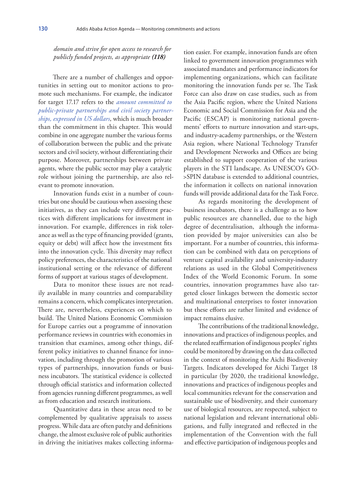*domain and strive for open access to research for publicly funded projects, as appropriate (118)*

There are a number of challenges and opportunities in setting out to monitor actions to promote such mechanisms. For example, the indicator for target 17.17 refers to the *amount committed to public-private partnerships and civil society partnerships, expressed in US dollars*, which is much broader than the commitment in this chapter. This would combine in one aggregate number the various forms of collaboration between the public and the private sectors and civil society, without differentiating their purpose. Moreover, partnerships between private agents, where the public sector may play a catalytic role without joining the partnership, are also relevant to promote innovation.

Innovation funds exist in a number of countries but one should be cautious when assessing these initiatives, as they can include very different practices with different implications for investment in innovation. For example, differences in risk tolerance as well as the type of financing provided (grants, equity or debt) will affect how the investment fits into the innovation cycle. This diversity may reflect policy preferences, the characteristics of the national institutional setting or the relevance of different forms of support at various stages of development.

Data to monitor these issues are not readily available in many countries and comparability remains a concern, which complicates interpretation. There are, nevertheless, experiences on which to build. The United Nations Economic Commission for Europe carries out a programme of innovation performance reviews in countries with economies in transition that examines, among other things, different policy initiatives to channel finance for innovation, including through the promotion of various types of partnerships, innovation funds or business incubators. The statistical evidence is collected through official statistics and information collected from agencies running different programmes, as well as from education and research institutions.

Quantitative data in these areas need to be complemented by qualitative appraisals to assess progress. While data are often patchy and definitions change, the almost exclusive role of public authorities in driving the initiatives makes collecting informa-

tion easier. For example, innovation funds are often linked to government innovation programmes with associated mandates and performance indicators for implementing organizations, which can facilitate monitoring the innovation funds per se. The Task Force can also draw on case studies, such as from the Asia Pacific region, where the United Nations Economic and Social Commission for Asia and the Pacific (ESCAP) is monitoring national governments' efforts to nurture innovation and start-ups, and industry-academy partnerships, or the Western Asia region, where National Technology Transfer and Development Networks and Offices are being established to support cooperation of the various players in the STI landscape. As UNESCO's GO- >SPIN database is extended to additional countries, the information it collects on national innovation funds will provide additional data for the Task Force.

As regards monitoring the development of business incubators, there is a challenge as to how public resources are channelled, due to the high degree of decentralisation, although the information provided by major universities can also be important. For a number of countries, this information can be combined with data on perceptions of venture capital availability and university-industry relations as used in the Global Competitiveness Index of the World Economic Forum. In some countries, innovation programmes have also targeted closer linkages between the domestic sector and multinational enterprises to foster innovation but these efforts are rather limited and evidence of impact remains elusive.

The contributions of the traditional knowledge, innovations and practices of indigenous peoples, and the related reaffirmation of indigenous peoples' rights could be monitored by drawing on the data collected in the context of monitoring the Aichi Biodiversity Targets. Indicators developed for Aichi Target 18 in particular (by 2020, the traditional knowledge, innovations and practices of indigenous peoples and local communities relevant for the conservation and sustainable use of biodiversity, and their customary use of biological resources, are respected, subject to national legislation and relevant international obligations, and fully integrated and reflected in the implementation of the Convention with the full and effective participation of indigenous peoples and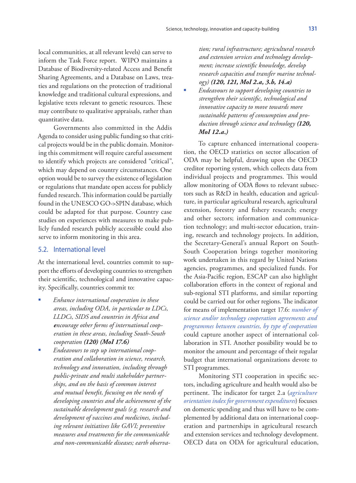local communities, at all relevant levels) can serve to inform the Task Force report. WIPO maintains a Database of Biodiversity-related Access and Benefit Sharing Agreements, and a Database on Laws, treaties and regulations on the protection of traditional knowledge and traditional cultural expressions, and legislative texts relevant to genetic resources. These may contribute to qualitative appraisals, rather than quantitative data.

Governments also committed in the Addis Agenda to consider using public funding so that critical projects would be in the public domain. Monitoring this commitment will require careful assessment to identify which projects are considered "critical", which may depend on country circumstances. One option would be to survey the existence of legislation or regulations that mandate open access for publicly funded research. This information could be partially found in the UNESCO GO->SPIN database, which could be adapted for that purpose. Country case studies on experiences with measures to make publicly funded research publicly accessible could also serve to inform monitoring in this area.

#### 5.2. International level

At the international level, countries commit to support the efforts of developing countries to strengthen their scientific, technological and innovative capacity. Specifically, countries commit to:

- *Enhance international cooperation in these areas, including ODA, in particular to LDCs, LLDCs, SIDS and countries in Africa and encourage other forms of international cooperation in these areas, including South-South cooperation (120) (MoI 17.6)*
- *Endeavours to step up international cooperation and collaboration in science, research, technology and innovation, including through public-private and multi stakeholder partnerships, and on the basis of common interest and mutual benefit, focusing on the needs of developing countries and the achievement of the sustainable development goals (e.g. research and development of vaccines and medicines, including relevant initiatives like GAVI; preventive measures and treatments for the communicable and non-communicable diseases; earth observa-*

*tion; rural infrastructure; agricultural research and extension services and technology development; increase scientific knowledge, develop research capacities and transfer marine technology) (120, 121, MoI 2.a, 3.b, 14.a)*

 *Endeavours to support developing countries to strengthen their scientific, technological and innovative capacity to move towards more sustainable patterns of consumption and production through science and technology (120, MoI 12.a.)*

To capture enhanced international cooperation, the OECD statistics on sector allocation of ODA may be helpful, drawing upon the OECD creditor reporting system, which collects data from individual projects and programmes. This would allow monitoring of ODA flows to relevant subsectors such as R&D in health, education and agriculture, in particular agricultural research, agricultural extension, forestry and fishery research; energy and other sectors; information and communication technology; and multi-sector education, training, research and technology projects. In addition, the Secretary-General's annual Report on South-South Cooperation brings together monitoring work undertaken in this regard by United Nations agencies, programmes, and specialized funds. For the Asia-Pacific region, ESCAP can also highlight collaboration efforts in the context of regional and sub-regional STI platforms, and similar reporting could be carried out for other regions. The indicator for means of implementation target 17.6: *number of science and/or technology cooperation agreements and programmes between countries, by type of cooperation* could capture another aspect of international collaboration in STI. Another possibility would be to monitor the amount and percentage of their regular budget that international organizations devote to STI programmes.

Monitoring STI cooperation in specific sectors, including agriculture and health would also be pertinent. The indicator for target 2.a (*agriculture orientation index for government expenditures*) focuses on domestic spending and thus will have to be complemented by additional data on international cooperation and partnerships in agricultural research and extension services and technology development. OECD data on ODA for agricultural education,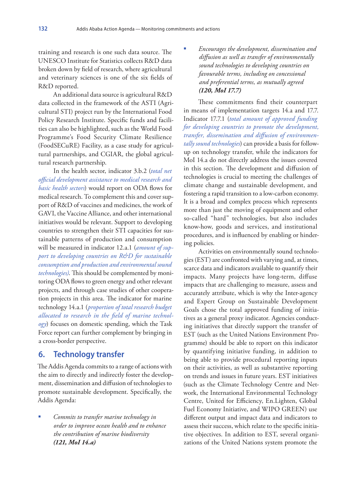training and research is one such data source. The UNESCO Institute for Statistics collects R&D data broken down by field of research, where agricultural and veterinary sciences is one of the six fields of R&D reported.

An additional data source is agricultural R&D data collected in the framework of the ASTI (Agricultural STI) project run by the International Food Policy Research Institute. Specific funds and facilities can also be highlighted, such as the World Food Programme's Food Security Climate Resilience (FoodSECuRE) Facility, as a case study for agricultural partnerships, and CGIAR, the global agricultural research partnership.

In the health sector, indicator 3.b.2 (*total net official development assistance to medical research and basic health sectors*) would report on ODA flows for medical research. To complement this and cover support of R&D of vaccines and medicines, the work of GAVI, the Vaccine Alliance, and other international initiatives would be relevant. Support to developing countries to strengthen their STI capacities for sustainable patterns of production and consumption will be measured in indicator 12.a.1 (*amount of support to developing countries on R&D for sustainable consumption and production and environmental sound technologies)*. This should be complemented by monitoring ODA flows to green energy and other relevant projects, and through case studies of other cooperation projects in this area. The indicator for marine technology 14.a.1 (*proportion of total research budget allocated to research in the field of marine technology*) focuses on domestic spending, which the Task Force report can further complement by bringing in a cross-border perspective.

## **6. Technology transfer**

The Addis Agenda commits to a range of actions with the aim to directly and indirectly foster the development, dissemination and diffusion of technologies to promote sustainable development. Specifically, the Addis Agenda:

 *Commits to transfer marine technology in order to improve ocean health and to enhance the contribution of marine biodiversity (121, MoI 14.a)*

 *Encourages the development, dissemination and diffusion as well as transfer of environmentally sound technologies to developing countries on favourable terms, including on concessional and preferential terms, as mutually agreed (120, MoI 17.7)*

These commitments find their counterpart in means of implementation targets 14.a and 17.7. Indicator 17.7.1 (*total amount of approved funding for developing countries to promote the development, transfer, dissemination and diffusion of environmentally sound technologies*) can provide a basis for followup on technology transfer, while the indicators for MoI 14.a do not directly address the issues covered in this section. The development and diffusion of technologies is crucial to meeting the challenges of climate change and sustainable development, and fostering a rapid transition to a low-carbon economy. It is a broad and complex process which represents more than just the moving of equipment and other so-called "hard" technologies, but also includes know-how, goods and services, and institutional procedures, and is influenced by enabling or hindering policies.

Activities on environmentally sound technologies (EST) are confronted with varying and, at times, scarce data and indicators available to quantify their impacts. Many projects have long-term, diffuse impacts that are challenging to measure, assess and accurately attribute, which is why the Inter-agency and Expert Group on Sustainable Development Goals chose the total approved funding of initiatives as a general proxy indicator. Agencies conducting initiatives that directly support the transfer of EST (such as the United Nations Environment Programme) should be able to report on this indicator by quantifying initiative funding, in addition to being able to provide procedural reporting inputs on their activities, as well as substantive reporting on trends and issues in future years. EST initiatives (such as the Climate Technology Centre and Network, the International Environmental Technology Centre, United for Efficiency, En.Lighten, Global Fuel Economy Initiative, and WIPO GREEN) use different output and impact data and indicators to assess their success, which relate to the specific initiative objectives. In addition to EST, several organizations of the United Nations system promote the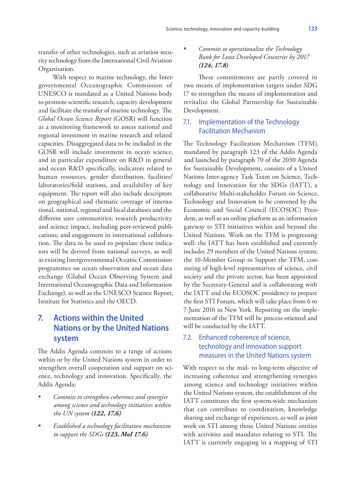transfer of other technologies, such as aviation security technology from the International Civil Aviation Organization.

With respect to marine technology, the Intergovernmental Oceanographic Commission of UNESCO is mandated as a United Nations body to promote scientific research, capacity development and facilitate the transfer of marine technology. The *Global Ocean Science Report* (GOSR) will function as a monitoring framework to assess national and regional investment in marine research and related capacities. Disaggregated data to be included in the GOSR will include investment in ocean science, and in particular expenditure on R&D in general and ocean R&D specifically, indicators related to human resources, gender distribution, facilities/ laboratories/field stations, and availability of key equipment. The report will also include descriptors on geographical and thematic coverage of international, national, regional and local databases and the different user communities; research productivity and science impact, including peer-reviewed publications; and engagement in international collaboration. The data to be used to populate these indicators will be derived from national surveys, as well as existing Intergovernmental Oceanic Commission programmes on ocean observation and ocean data exchange (Global Ocean Observing System and International Oceanographic Data and Information Exchange), as well as the UNESCO Science Report, Institute for Statistics and the OECD.

## **7. Actions within the United Nations or by the United Nations system**

The Addis Agenda commits to a range of actions within or by the United Nations system in order to strengthen overall cooperation and support on science, technology and innovation. Specifically, the Addis Agenda:

- *Commits to strengthen coherence and synergies among science and technology initiatives within the UN system (122, 17.6)*
- *Established a technology facilitation mechanism to support the SDGs (123, MoI 17.6)*

#### *Commits to operationalize the Technology Bank for Least Developed Countries by 2017 (124, 17.8)*

These commitments are partly covered in two means of implementation targets under SDG 17 to strengthen the means of implementation and revitalize the Global Partnership for Sustainable Development.

#### 7.1. Implementation of the Technology Facilitation Mechanism

The Technology Facilitation Mechanism (TFM), mandated by paragraph 123 of the Addis Agenda and launched by paragraph 70 of the 2030 Agenda for Sustainable Development, consists of a United Nations Inter-agency Task Team on Science, Technology and Innovation for the SDGs (IATT), a collaborative Multi-stakeholder Forum on Science, Technology and Innovation to be convened by the Economic and Social Council (ECOSOC) President, as well as an online platform as an information gateway to STI initiatives within and beyond the United Nations. Work on the TFM is progressing well: the IATT has been established and currently includes 29 members of the United Nations system; the 10-Member Group to Support the TFM, consisting of high-level representatives of science, civil society and the private sector, has been appointed by the Secretary-General and is collaborating with the IATT and the ECOSOC presidency to prepare the first STI Forum, which will take place from 6 to 7 June 2016 in New York. Reporting on the implementation of the TFM will be process-oriented and will be conducted by the IATT.

## 7.2. Enhanced coherence of science, technology and innovation support measures in the United Nations system

With respect to the mid- to long-term objective of increasing coherence and strengthening synergies among science and technology initiatives within the United Nations system, the establishment of the IATT constitutes the first system-wide mechanism that can contribute to coordination, knowledge sharing and exchange of experiences, as well as joint work on STI among those United Nations entities with activities and mandates relating to STI. The IATT is currently engaging in a mapping of STI